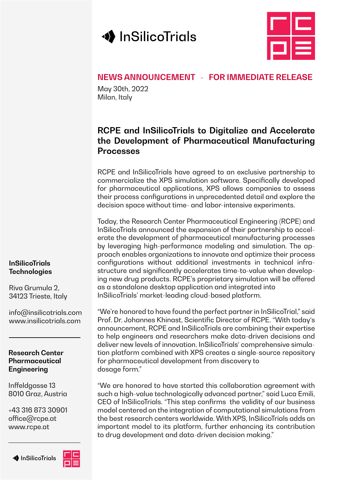



# **NEWS ANNOUNCEMENT - FOR IMMEDIATE RELEASE**

May 30th, 2022 Milan, Italy

# **RCPE and InSilicoTrials to Digitalize and Accelerate the Development of Pharmaceutical Manufacturing Processes**

RCPE and InSilicoTrials have agreed to an exclusive partnership to commercialize the XPS simulation software. Specifically developed for pharmaceutical applications, XPS allows companies to assess their process configurations in unprecedented detail and explore the decision space without time- and labor-intensive experiments.

Today, the Research Center Pharmaceutical Engineering (RCPE) and InSilicoTrials announced the expansion of their partnership to accelerate the development of pharmaceutical manufacturing processes by leveraging high-performance modeling and simulation. The approach enables organizations to innovate and optimize their process configurations without additional investments in technical infrastructure and significantly accelerates time-to-value when developing new drug products. RCPE's proprietary simulation will be offered as a standalone desktop application and integrated into InSilicoTrials' market-leading cloud-based platform.

"We're honored to have found the perfect partner in InSilicoTrial," said Prof. Dr. Johannes Khinast, Scientific Director of RCPE. "With today's announcement, RCPE and InSilicoTrials are combining their expertise to help engineers and researchers make data-driven decisions and deliver new levels of innovation. InSilicoTrials' comprehensive simulation platform combined with XPS creates a single-source repository for pharmaceutical development from discovery to dosage form."

"We are honored to have started this collaboration agreement with such a high-value technologically advanced partner," said Luca Emili, CEO of InSilicoTrials. "This step confirms the validity of our business model centered on the integration of computational simulations from the best research centers worldwide. With XPS, InSilicoTrials adds an important model to its platform, further enhancing its contribution to drug development and data-driven decision making."

#### **InSilicoTrials Technologies**

Riva Grumula 2, 34123 Trieste, Italy

info@insilicotrials.com www.insilicotrials.com

### **Research Center Pharmaceutical Engineering**

Inffeldgasse 13 8010 Graz, Austria

+43 316 873 30901 office@rcpe.at www.rcpe.at

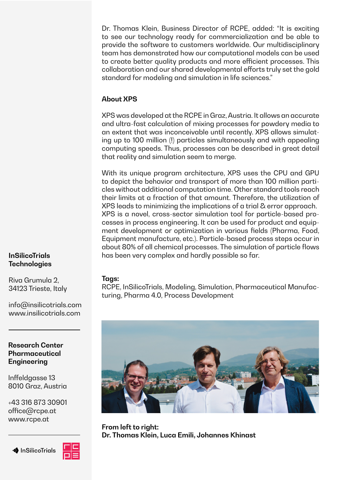Dr. Thomas Klein, Business Director of RCPE, added: "It is exciting to see our technology ready for commercialization and be able to provide the software to customers worldwide. Our multidisciplinary team has demonstrated how our computational models can be used to create better quality products and more efficient processes. This collaboration and our shared developmental efforts truly set the gold standard for modeling and simulation in life sciences."

## **About XPS**

XPS was developed at the RCPE in Graz, Austria. It allows an accurate and ultra-fast calculation of mixing processes for powdery media to an extent that was inconceivable until recently. XPS allows simulating up to 100 million (!) particles simultaneously and with appealing computing speeds. Thus, processes can be described in great detail that reality and simulation seem to merge.

With its unique program architecture, XPS uses the CPU and GPU to depict the behavior and transport of more than 100 million particles without additional computation time. Other standard tools reach their limits at a fraction of that amount. Therefore, the utilization of XPS leads to minimizing the implications of a trial & error approach. XPS is a novel, cross-sector simulation tool for particle-based processes in process engineering. It can be used for product and equipment development or optimization in various fields (Pharma, Food, Equipment manufacture, etc.). Particle-based process steps occur in about 80% of all chemical processes. The simulation of particle flows has been very complex and hardly possible so far.

#### **Tags:**

RCPE, InSilicoTrials, Modeling, Simulation, Pharmaceutical Manufacturing, Pharma 4.0, Process Development



**From left to right: Dr. Thomas Klein, Luca Emili, Johannes Khinast**

### **InSilicoTrials Technologies**

Riva Grumula 2, 34123 Trieste, Italy

info@insilicotrials.com www.insilicotrials.com

#### **Research Center Pharmaceutical Engineering**

Inffeldgasse 13 8010 Graz, Austria

+43 316 873 30901 office@rcpe.at www.rcpe.at